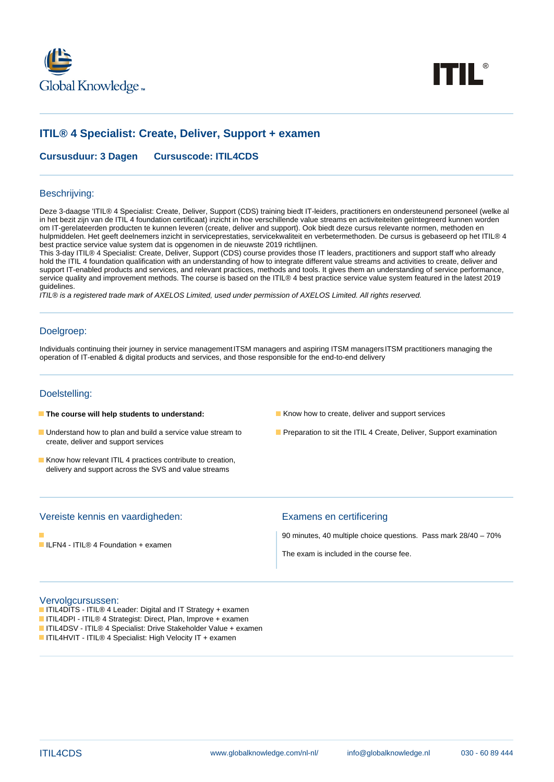



# **ITIL® 4 Specialist: Create, Deliver, Support + examen**

**Cursusduur: 3 Dagen Cursuscode: ITIL4CDS**

#### Beschrijving:

Deze 3-daagse 'ITIL® 4 Specialist: Create, Deliver, Support (CDS) training biedt IT-leiders, practitioners en ondersteunend personeel (welke al in het bezit zijn van de ITIL 4 foundation certificaat) inzicht in hoe verschillende value streams en activiteiteiten geïntegreerd kunnen worden om IT-gerelateerden producten te kunnen leveren (create, deliver and support). Ook biedt deze cursus relevante normen, methoden en hulpmiddelen. Het geeft deelnemers inzicht in serviceprestaties, servicekwaliteit en verbetermethoden. De cursus is gebaseerd op het ITIL® 4 best practice service value system dat is opgenomen in de nieuwste 2019 richtlijnen.

This 3-day ITIL® 4 Specialist: Create, Deliver, Support (CDS) course provides those IT leaders, practitioners and support staff who already hold the ITIL 4 foundation qualification with an understanding of how to integrate different value streams and activities to create, deliver and support IT-enabled products and services, and relevant practices, methods and tools. It gives them an understanding of service performance, service quality and improvement methods. The course is based on the ITIL® 4 best practice service value system featured in the latest 2019 guidelines.

ITIL® is a registered trade mark of AXELOS Limited, used under permission of AXELOS Limited. All rights reserved.

#### Doelgroep:

Individuals continuing their journey in service managementITSM managers and aspiring ITSM managersITSM practitioners managing the operation of IT-enabled & digital products and services, and those responsible for the end-to-end delivery

#### Doelstelling:

- 
- **The course will help students to understand:** Know how to create, deliver and support services
- Understand how to plan and build a service value stream to **Preparation to sit the ITIL 4 Create, Deliver, Support examination** create, deliver and support services
- Know how relevant ITIL 4 practices contribute to creation, delivery and support across the SVS and value streams
- 

| Vereiste kennis en vaardigheden:           | Examens en certificering                                                                                   |
|--------------------------------------------|------------------------------------------------------------------------------------------------------------|
| <b>ILFN4 - ITIL® 4 Foundation + examen</b> | 90 minutes, 40 multiple choice questions. Pass mark 28/40 - 70%<br>The exam is included in the course fee. |

#### Vervolgcursussen:

- ITIL4DITS ITIL® 4 Leader: Digital and IT Strategy + examen
- ITIL4DPI ITIL® 4 Strategist: Direct, Plan, Improve + examen
- ITIL4DSV ITIL® 4 Specialist: Drive Stakeholder Value + examen
- ITIL4HVIT ITIL® 4 Specialist: High Velocity IT + examen